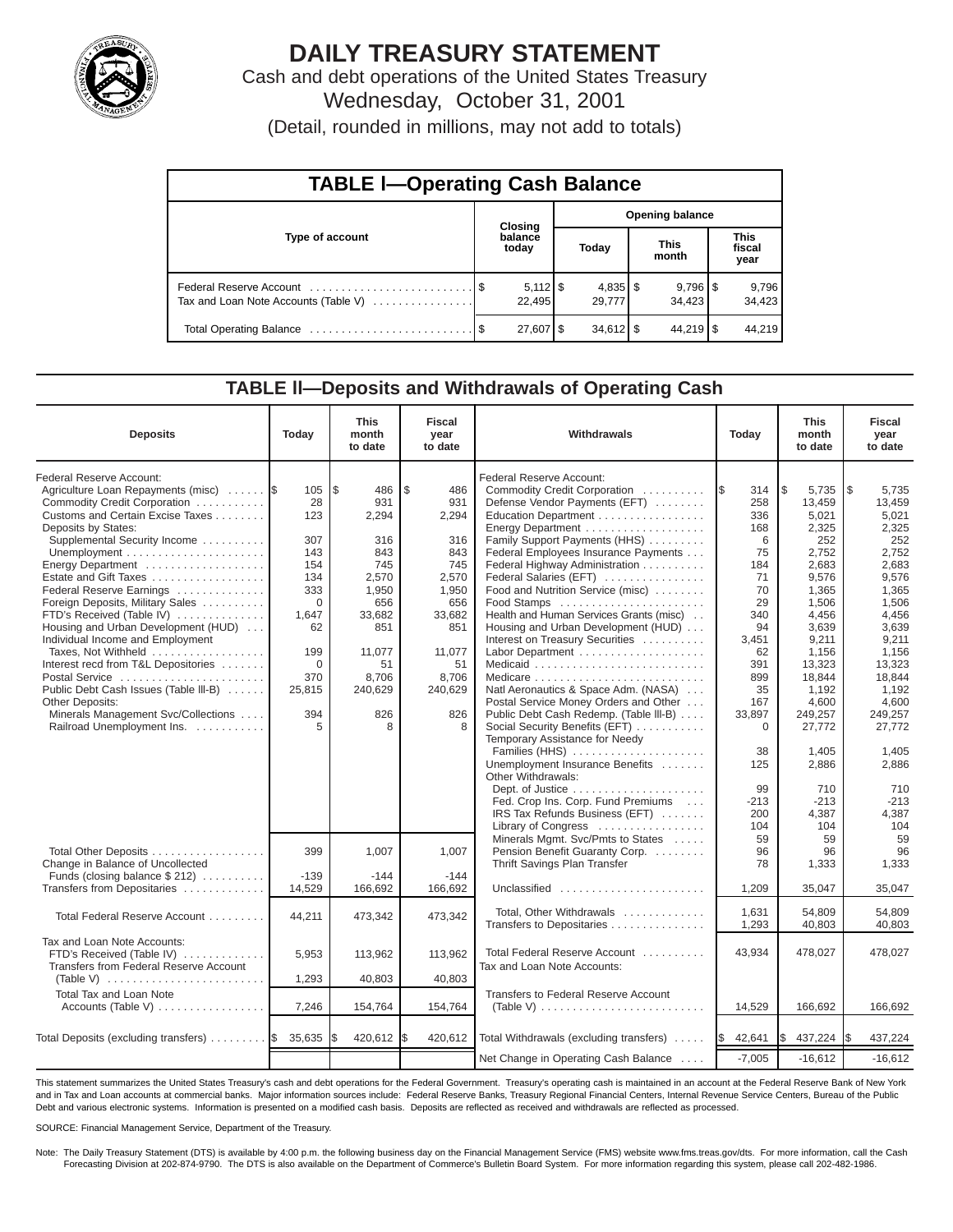

# **DAILY TREASURY STATEMENT**

Cash and debt operations of the United States Treasury Wednesday, October 31, 2001

(Detail, rounded in millions, may not add to totals)

| <b>TABLE I-Operating Cash Balance</b> |  |                  |                        |                                 |                      |                                 |                               |                 |  |  |
|---------------------------------------|--|------------------|------------------------|---------------------------------|----------------------|---------------------------------|-------------------------------|-----------------|--|--|
| Type of account                       |  | Closing          | <b>Opening balance</b> |                                 |                      |                                 |                               |                 |  |  |
|                                       |  | balance<br>today | Today                  |                                 | <b>This</b><br>month |                                 | <b>This</b><br>fiscal<br>year |                 |  |  |
| Tax and Loan Note Accounts (Table V)  |  | 22.495           |                        | $4,835$ $\frac{1}{3}$<br>29,777 |                      | $9,796$ $\frac{8}{3}$<br>34.423 |                               | 9,796<br>34,423 |  |  |
|                                       |  | 27,607 \$        |                        | $34,612$ \$                     |                      | $44.219$ S                      |                               | 44.219          |  |  |

### **TABLE ll—Deposits and Withdrawals of Operating Cash**

| <b>Deposits</b>                                                                                               | Today       | <b>This</b><br>month<br>to date | <b>Fiscal</b><br>year<br>to date | Withdrawals                                                                               |                          | <b>This</b><br>month<br>to date | <b>Fiscal</b><br>year<br>to date |
|---------------------------------------------------------------------------------------------------------------|-------------|---------------------------------|----------------------------------|-------------------------------------------------------------------------------------------|--------------------------|---------------------------------|----------------------------------|
| Federal Reserve Account:<br>Agriculture Loan Repayments (misc)<br>Commodity Credit Corporation                | 105<br>28   | l\$<br>486<br>931               | S.<br>486<br>931                 | Federal Reserve Account:<br>Commodity Credit Corporation<br>Defense Vendor Payments (EFT) | <b>1\$</b><br>314<br>258 | \$<br>5,735<br>13,459           | 1\$<br>5,735<br>13,459           |
| Customs and Certain Excise Taxes<br>Deposits by States:<br>Supplemental Security Income                       | 123<br>307  | 2,294<br>316                    | 2,294<br>316                     | Education Department<br>Energy Department<br>Family Support Payments (HHS)                | 336<br>168<br>6          | 5,021<br>2,325<br>252           | 5,021<br>2,325<br>252            |
|                                                                                                               | 143<br>154  | 843<br>745                      | 843<br>745                       | Federal Employees Insurance Payments                                                      | 75                       | 2,752<br>2,683                  | 2,752<br>2,683                   |
| Energy Department<br>Estate and Gift Taxes                                                                    | 134         | 2,570                           | 2,570                            | Federal Highway Administration<br>Federal Salaries (EFT)                                  | 184<br>71                | 9,576                           | 9,576                            |
| Federal Reserve Earnings                                                                                      | 333         | 1.950                           | 1,950                            | Food and Nutrition Service (misc)                                                         | 70                       | 1.365                           | 1,365                            |
| Foreign Deposits, Military Sales                                                                              | $\mathbf 0$ | 656                             | 656                              | Food Stamps                                                                               | 29                       | 1,506                           | 1,506                            |
| FTD's Received (Table IV)<br>Housing and Urban Development (HUD)                                              | 1.647<br>62 | 33.682<br>851                   | 33,682<br>851                    | Health and Human Services Grants (misc)<br>Housing and Urban Development (HUD)            | 340<br>94                | 4.456<br>3.639                  | 4,456<br>3.639                   |
| Individual Income and Employment                                                                              |             |                                 |                                  | Interest on Treasury Securities                                                           | 3,451                    | 9,211                           | 9,211                            |
| Taxes. Not Withheld                                                                                           | 199         | 11.077                          | 11.077                           | Labor Department                                                                          | 62                       | 1.156                           | 1.156                            |
| Interest recd from T&L Depositories                                                                           | $\Omega$    | 51                              | 51                               |                                                                                           | 391                      | 13,323                          | 13,323                           |
| Postal Service                                                                                                | 370         | 8.706                           | 8.706                            |                                                                                           | 899                      | 18.844                          | 18.844<br>1.192                  |
| Public Debt Cash Issues (Table III-B)<br><b>Other Deposits:</b>                                               | 25,815      | 240,629                         | 240,629                          | Natl Aeronautics & Space Adm. (NASA)<br>Postal Service Money Orders and Other             | 35<br>167                | 1.192<br>4,600                  | 4,600                            |
| Minerals Management Svc/Collections                                                                           | 394         | 826                             | 826                              | Public Debt Cash Redemp. (Table III-B)                                                    | 33,897                   | 249,257                         | 249,257                          |
| Railroad Unemployment Ins.                                                                                    | 5           | 8                               | 8                                | Social Security Benefits (EFT)                                                            | 0                        | 27,772                          | 27,772                           |
|                                                                                                               |             |                                 |                                  | Temporary Assistance for Needy                                                            |                          |                                 |                                  |
|                                                                                                               |             |                                 |                                  | Families (HHS)<br>Unemployment Insurance Benefits                                         | 38<br>125                | 1,405<br>2,886                  | 1,405<br>2,886                   |
|                                                                                                               |             |                                 |                                  | Other Withdrawals:                                                                        |                          |                                 |                                  |
|                                                                                                               |             |                                 |                                  |                                                                                           | 99                       | 710                             | 710                              |
|                                                                                                               |             |                                 |                                  | Fed. Crop Ins. Corp. Fund Premiums                                                        | $-213$                   | $-213$                          | $-213$                           |
|                                                                                                               |             |                                 |                                  | IRS Tax Refunds Business (EFT)                                                            | 200<br>104               | 4,387<br>104                    | 4,387<br>104                     |
|                                                                                                               |             |                                 |                                  | Library of Congress<br>Minerals Mgmt. Svc/Pmts to States                                  | 59                       | 59                              | 59                               |
| Total Other Deposits                                                                                          | 399         | 1,007                           | 1,007                            | Pension Benefit Guaranty Corp.                                                            | 96                       | 96                              | 96                               |
| Change in Balance of Uncollected                                                                              |             |                                 |                                  | Thrift Savings Plan Transfer                                                              | 78                       | 1,333                           | 1,333                            |
| Funds (closing balance $$212$ )                                                                               | $-139$      | $-144$                          | $-144$                           |                                                                                           |                          |                                 |                                  |
| Transfers from Depositaries                                                                                   | 14,529      | 166,692                         | 166,692                          | Unclassified                                                                              | 1,209                    | 35,047                          | 35,047                           |
| Total Federal Reserve Account                                                                                 | 44,211      | 473,342                         | 473,342                          | Total. Other Withdrawals                                                                  | 1.631                    | 54.809                          | 54.809                           |
|                                                                                                               |             |                                 |                                  | Transfers to Depositaries                                                                 | 1,293                    | 40,803                          | 40.803                           |
| Tax and Loan Note Accounts:                                                                                   |             |                                 |                                  |                                                                                           |                          |                                 |                                  |
| FTD's Received (Table IV)                                                                                     | 5,953       | 113,962                         | 113,962                          | Total Federal Reserve Account                                                             | 43,934                   | 478,027                         | 478,027                          |
| Transfers from Federal Reserve Account<br>(Table V) $\ldots \ldots \ldots \ldots \ldots \ldots \ldots \ldots$ | 1,293       | 40,803                          | 40,803                           | Tax and Loan Note Accounts:                                                               |                          |                                 |                                  |
| Total Tax and Loan Note                                                                                       |             |                                 |                                  | Transfers to Federal Reserve Account                                                      |                          |                                 |                                  |
| Accounts (Table V)                                                                                            | 7,246       | 154,764                         | 154,764                          |                                                                                           | 14,529                   | 166,692                         | 166,692                          |
|                                                                                                               |             |                                 |                                  |                                                                                           |                          |                                 |                                  |
| Total Deposits (excluding transfers) $\ldots \ldots \ldots$                                                   | 35,635      | 420,612                         | 420,612                          | Total Withdrawals (excluding transfers)                                                   | 42,641<br><b>IS</b>      | 437,224                         | 437,224<br>1\$                   |
|                                                                                                               |             |                                 |                                  | Net Change in Operating Cash Balance                                                      | $-7,005$                 | $-16,612$                       | $-16,612$                        |

This statement summarizes the United States Treasury's cash and debt operations for the Federal Government. Treasury's operating cash is maintained in an account at the Federal Reserve Bank of New York and in Tax and Loan accounts at commercial banks. Major information sources include: Federal Reserve Banks, Treasury Regional Financial Centers, Internal Revenue Service Centers, Bureau of the Public Debt and various electronic systems. Information is presented on a modified cash basis. Deposits are reflected as received and withdrawals are reflected as processed.

SOURCE: Financial Management Service, Department of the Treasury.

Note: The Daily Treasury Statement (DTS) is available by 4:00 p.m. the following business day on the Financial Management Service (FMS) website www.fms.treas.gov/dts. For more information, call the Cash Forecasting Division at 202-874-9790. The DTS is also available on the Department of Commerce's Bulletin Board System. For more information regarding this system, please call 202-482-1986.